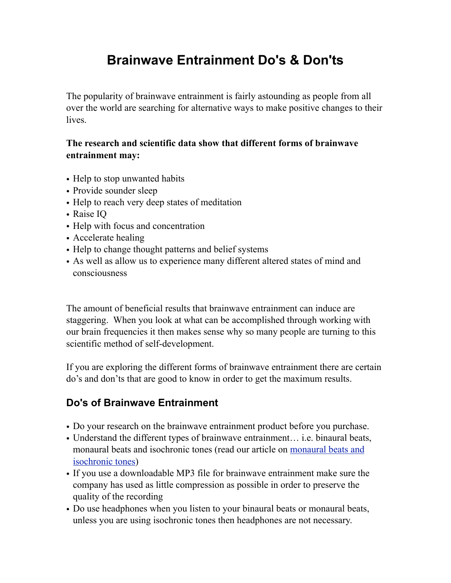## **Brainwave Entrainment Do's & Don'ts**

The popularity of brainwave entrainment is fairly astounding as people from all over the world are searching for alternative ways to make positive changes to their lives.

## **The research and scientific data show that different forms of brainwave entrainment may:**

- Help to stop unwanted habits
- Provide sounder sleep
- Help to reach very deep states of meditation
- Raise IQ
- Help with focus and concentration
- Accelerate healing
- Help to change thought patterns and belief systems
- As well as allow us to experience many different altered states of mind and consciousness

The amount of beneficial results that brainwave entrainment can induce are staggering. When you look at what can be accomplished through working with our brain frequencies it then makes sense why so many people are turning to this scientific method of self-development.

If you are exploring the different forms of brainwave entrainment there are certain do's and don'ts that are good to know in order to get the maximum results.

## **Do's of Brainwave Entrainment**

- Do your research on the brainwave entrainment product before you purchase.
- Understand the different types of brainwave entrainment... i.e. binaural beats, monaural beats and isochronic tones (read our article on [monaural beats and](http://www.binauralbeatsonline.com/understanding-monaural-beats-and-isochronic-tones/)  [isochronic tones\)](http://www.binauralbeatsonline.com/understanding-monaural-beats-and-isochronic-tones/)
- If you use a downloadable MP3 file for brainwave entrainment make sure the company has used as little compression as possible in order to preserve the quality of the recording
- Do use headphones when you listen to your binaural beats or monaural beats, unless you are using isochronic tones then headphones are not necessary.